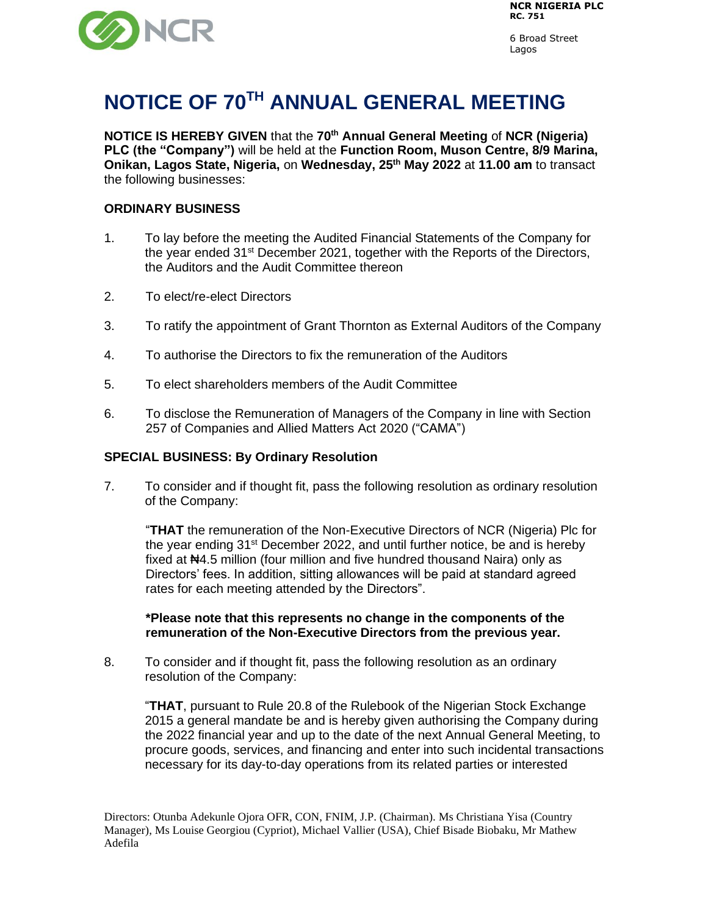

6 Broad Street Lagos

# **NOTICE OF 70TH ANNUAL GENERAL MEETING**

**NOTICE IS HEREBY GIVEN** that the **70th Annual General Meeting** of **NCR (Nigeria) PLC (the "Company")** will be held at the **Function Room, Muson Centre, 8/9 Marina, Onikan, Lagos State, Nigeria,** on **Wednesday, 25th May 2022** at **11.00 am** to transact the following businesses:

#### **ORDINARY BUSINESS**

- 1. To lay before the meeting the Audited Financial Statements of the Company for the year ended 31st December 2021, together with the Reports of the Directors, the Auditors and the Audit Committee thereon
- 2. To elect/re-elect Directors
- 3. To ratify the appointment of Grant Thornton as External Auditors of the Company
- 4. To authorise the Directors to fix the remuneration of the Auditors
- 5. To elect shareholders members of the Audit Committee
- 6. To disclose the Remuneration of Managers of the Company in line with Section 257 of Companies and Allied Matters Act 2020 ("CAMA")

#### **SPECIAL BUSINESS: By Ordinary Resolution**

7. To consider and if thought fit, pass the following resolution as ordinary resolution of the Company:

"**THAT** the remuneration of the Non-Executive Directors of NCR (Nigeria) Plc for the year ending  $31^{st}$  December 2022, and until further notice, be and is hereby fixed at N44.5 million (four million and five hundred thousand Naira) only as Directors' fees. In addition, sitting allowances will be paid at standard agreed rates for each meeting attended by the Directors".

#### **\*Please note that this represents no change in the components of the remuneration of the Non-Executive Directors from the previous year.**

8. To consider and if thought fit, pass the following resolution as an ordinary resolution of the Company:

"**THAT**, pursuant to Rule 20.8 of the Rulebook of the Nigerian Stock Exchange 2015 a general mandate be and is hereby given authorising the Company during the 2022 financial year and up to the date of the next Annual General Meeting, to procure goods, services, and financing and enter into such incidental transactions necessary for its day-to-day operations from its related parties or interested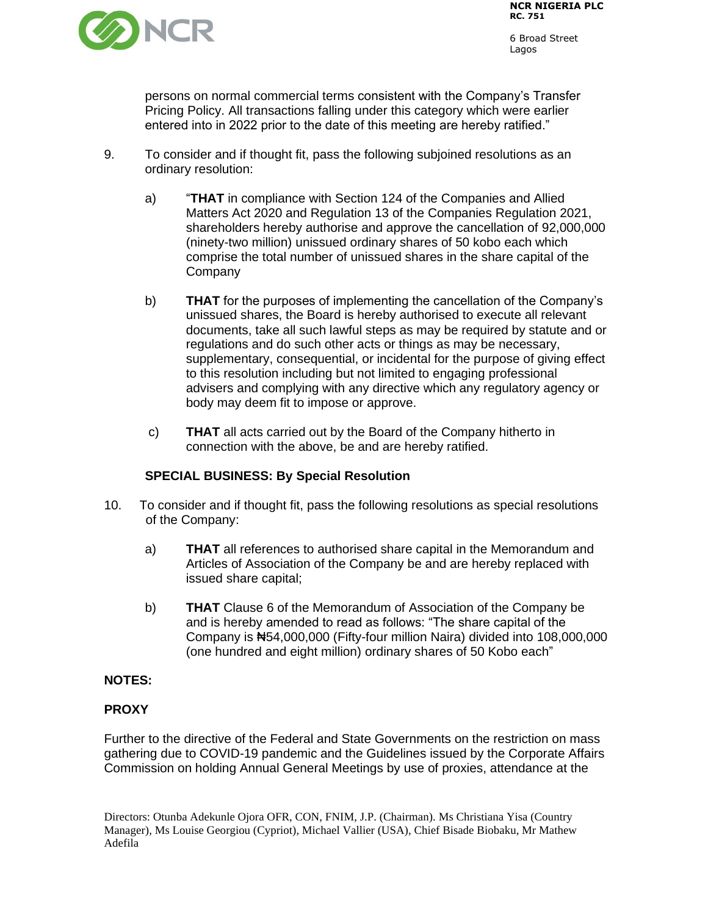

persons on normal commercial terms consistent with the Company's Transfer Pricing Policy. All transactions falling under this category which were earlier entered into in 2022 prior to the date of this meeting are hereby ratified."

- 9. To consider and if thought fit, pass the following subjoined resolutions as an ordinary resolution:
	- a) "**THAT** in compliance with Section 124 of the Companies and Allied Matters Act 2020 and Regulation 13 of the Companies Regulation 2021, shareholders hereby authorise and approve the cancellation of 92,000,000 (ninety-two million) unissued ordinary shares of 50 kobo each which comprise the total number of unissued shares in the share capital of the **Company**
	- b) **THAT** for the purposes of implementing the cancellation of the Company's unissued shares, the Board is hereby authorised to execute all relevant documents, take all such lawful steps as may be required by statute and or regulations and do such other acts or things as may be necessary, supplementary, consequential, or incidental for the purpose of giving effect to this resolution including but not limited to engaging professional advisers and complying with any directive which any regulatory agency or body may deem fit to impose or approve.
	- c) **THAT** all acts carried out by the Board of the Company hitherto in connection with the above, be and are hereby ratified.

## **SPECIAL BUSINESS: By Special Resolution**

- 10. To consider and if thought fit, pass the following resolutions as special resolutions of the Company:
	- a) **THAT** all references to authorised share capital in the Memorandum and Articles of Association of the Company be and are hereby replaced with issued share capital;
	- b) **THAT** Clause 6 of the Memorandum of Association of the Company be and is hereby amended to read as follows: "The share capital of the Company is ₦54,000,000 (Fifty-four million Naira) divided into 108,000,000 (one hundred and eight million) ordinary shares of 50 Kobo each"

#### **NOTES:**

#### **PROXY**

Further to the directive of the Federal and State Governments on the restriction on mass gathering due to COVID-19 pandemic and the Guidelines issued by the Corporate Affairs Commission on holding Annual General Meetings by use of proxies, attendance at the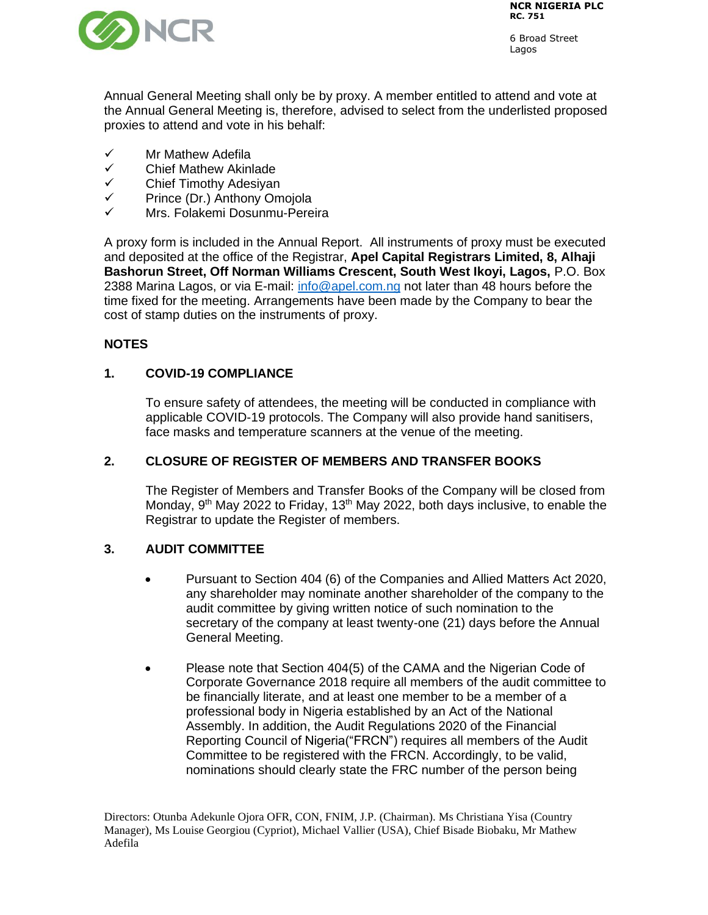

Annual General Meeting shall only be by proxy. A member entitled to attend and vote at the Annual General Meeting is, therefore, advised to select from the underlisted proposed proxies to attend and vote in his behalf:

- ✓ Mr Mathew Adefila
- Chief Mathew Akinlade
- ✓ Chief Timothy Adesiyan
- ✓ Prince (Dr.) Anthony Omojola
- Mrs. Folakemi Dosunmu-Pereira

A proxy form is included in the Annual Report. All instruments of proxy must be executed and deposited at the office of the Registrar, **Apel Capital Registrars Limited, 8, Alhaji Bashorun Street, Off Norman Williams Crescent, South West Ikoyi, Lagos,** P.O. Box 2388 Marina Lagos, or via E-mail: [info@apel.com.ng](mailto:info@apel.com.ng) not later than 48 hours before the time fixed for the meeting. Arrangements have been made by the Company to bear the cost of stamp duties on the instruments of proxy.

# **NOTES**

# **1. COVID-19 COMPLIANCE**

To ensure safety of attendees, the meeting will be conducted in compliance with applicable COVID-19 protocols. The Company will also provide hand sanitisers, face masks and temperature scanners at the venue of the meeting.

# **2. CLOSURE OF REGISTER OF MEMBERS AND TRANSFER BOOKS**

The Register of Members and Transfer Books of the Company will be closed from Monday, 9<sup>th</sup> May 2022 to Friday, 13<sup>th</sup> May 2022, both days inclusive, to enable the Registrar to update the Register of members.

# **3. AUDIT COMMITTEE**

- Pursuant to Section 404 (6) of the Companies and Allied Matters Act 2020, any shareholder may nominate another shareholder of the company to the audit committee by giving written notice of such nomination to the secretary of the company at least twenty-one (21) days before the Annual General Meeting.
- Please note that Section 404(5) of the CAMA and the Nigerian Code of Corporate Governance 2018 require all members of the audit committee to be financially literate, and at least one member to be a member of a professional body in Nigeria established by an Act of the National Assembly. In addition, the Audit Regulations 2020 of the Financial Reporting Council of Nigeria("FRCN") requires all members of the Audit Committee to be registered with the FRCN. Accordingly, to be valid, nominations should clearly state the FRC number of the person being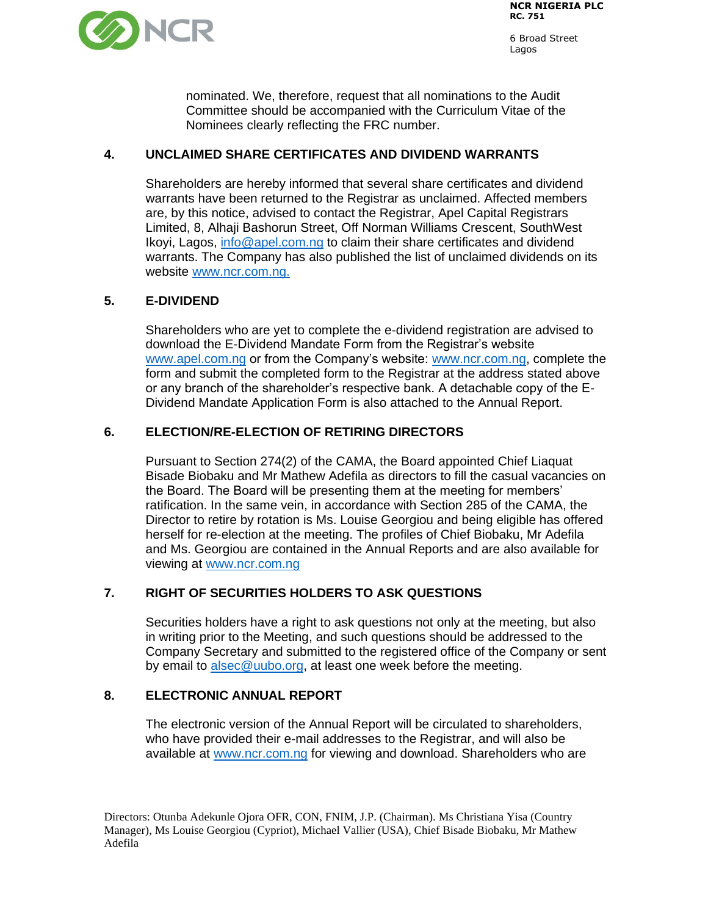

6 Broad Street Lagos

nominated. We, therefore, request that all nominations to the Audit Committee should be accompanied with the Curriculum Vitae of the Nominees clearly reflecting the FRC number.

## **4. UNCLAIMED SHARE CERTIFICATES AND DIVIDEND WARRANTS**

Shareholders are hereby informed that several share certificates and dividend warrants have been returned to the Registrar as unclaimed. Affected members are, by this notice, advised to contact the Registrar, Apel Capital Registrars Limited, 8, Alhaji Bashorun Street, Off Norman Williams Crescent, SouthWest Ikoyi, Lagos, [info@apel.com.ng](mailto:info@apel.com.ng) to claim their share certificates and dividend warrants. The Company has also published the list of unclaimed dividends on its website [www.ncr.com.ng.](http://www.ncr.com.ng/)

## **5. E-DIVIDEND**

Shareholders who are yet to complete the e-dividend registration are advised to download the E-Dividend Mandate Form from the Registrar's website [www.apel.com.ng](http://www.apel.com.ng/) or from the Company's website: [www.ncr.com.ng,](http://www.ncr.com.ng/) complete the form and submit the completed form to the Registrar at the address stated above or any branch of the shareholder's respective bank. A detachable copy of the E-Dividend Mandate Application Form is also attached to the Annual Report.

## **6. ELECTION/RE-ELECTION OF RETIRING DIRECTORS**

Pursuant to Section 274(2) of the CAMA, the Board appointed Chief Liaquat Bisade Biobaku and Mr Mathew Adefila as directors to fill the casual vacancies on the Board. The Board will be presenting them at the meeting for members' ratification. In the same vein, in accordance with Section 285 of the CAMA, the Director to retire by rotation is Ms. Louise Georgiou and being eligible has offered herself for re-election at the meeting. The profiles of Chief Biobaku, Mr Adefila and Ms. Georgiou are contained in the Annual Reports and are also available for viewing at [www.ncr.com.ng](http://www.ncr.com.ng/)

## **7. RIGHT OF SECURITIES HOLDERS TO ASK QUESTIONS**

Securities holders have a right to ask questions not only at the meeting, but also in writing prior to the Meeting, and such questions should be addressed to the Company Secretary and submitted to the registered office of the Company or sent by email to [alsec@uubo.org,](mailto:alsec@uubo.org) at least one week before the meeting.

## **8. ELECTRONIC ANNUAL REPORT**

The electronic version of the Annual Report will be circulated to shareholders, who have provided their e-mail addresses to the Registrar, and will also be available at [www.ncr.com.ng](http://www.ncr.com.ng/) for viewing and download. Shareholders who are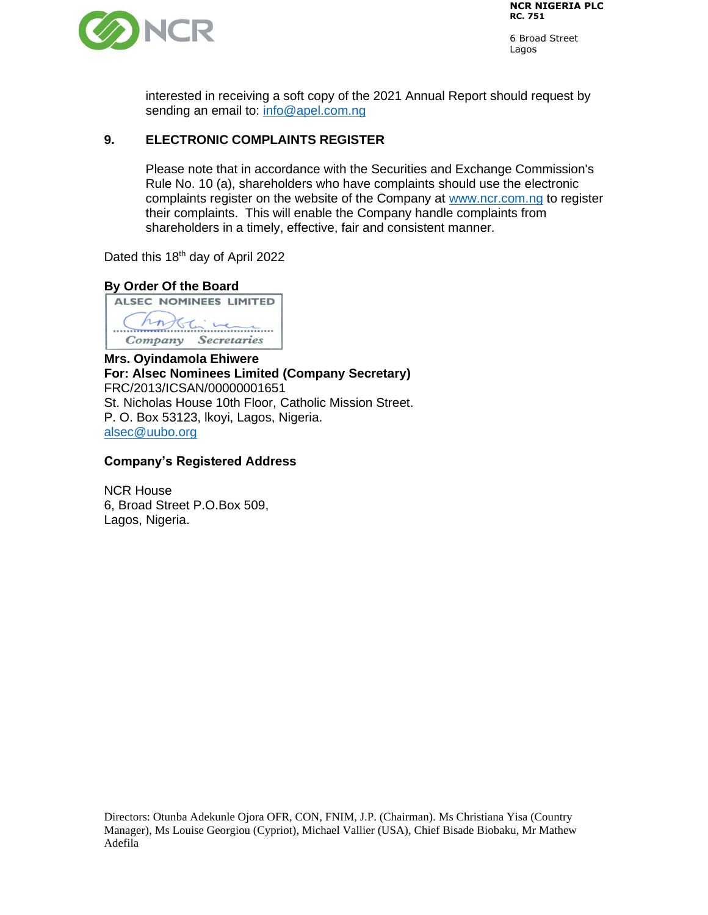

interested in receiving a soft copy of the 2021 Annual Report should request by sending an email to: [info@apel.com.ng](mailto:info@apel.com.ng)

#### **9. ELECTRONIC COMPLAINTS REGISTER**

Please note that in accordance with the Securities and Exchange Commission's Rule No. 10 (a), shareholders who have complaints should use the electronic complaints register on the website of the Company at [www.ncr.com.ng](http://www.ncr.com.ng/) to register their complaints. This will enable the Company handle complaints from shareholders in a timely, effective, fair and consistent manner.

Dated this 18<sup>th</sup> day of April 2022

## **By Order Of the Board ALSEC NOMINEES LIMITED**

hn This were Company Secretaries

**Mrs. Oyindamola Ehiwere For: Alsec Nominees Limited (Company Secretary)** FRC/2013/ICSAN/00000001651 St. Nicholas House 10th Floor, Catholic Mission Street. P. O. Box 53123, lkoyi, Lagos, Nigeria. [alsec@uubo.org](mailto:alsec@uubo.org)

#### **Company's Registered Address**

NCR House 6, Broad Street P.O.Box 509, Lagos, Nigeria.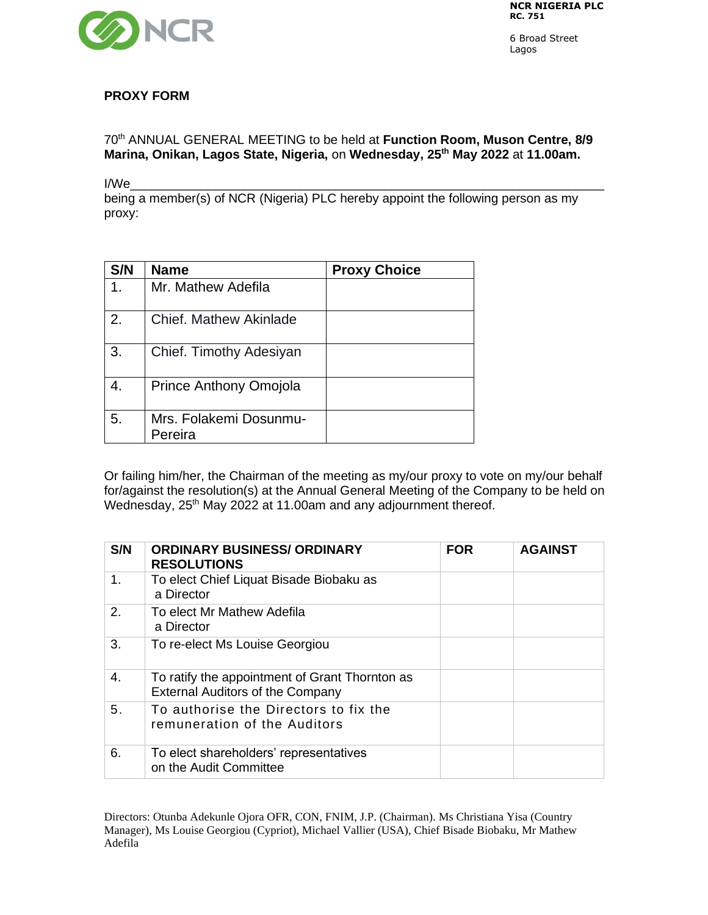

6 Broad Street Lagos

## **PROXY FORM**

70th ANNUAL GENERAL MEETING to be held at **Function Room, Muson Centre, 8/9 Marina, Onikan, Lagos State, Nigeria,** on **Wednesday, 25 th May 2022** at **11.00am.** 

I/We\_\_\_\_\_\_\_\_\_\_\_\_\_\_\_\_\_\_\_\_\_\_\_\_\_\_\_\_\_\_\_\_\_\_\_\_\_\_\_\_\_\_\_\_\_\_\_\_\_\_\_\_\_\_\_\_\_\_\_\_\_\_\_\_\_\_\_

being a member(s) of NCR (Nigeria) PLC hereby appoint the following person as my proxy:

| S/N | <b>Name</b>                       | <b>Proxy Choice</b> |
|-----|-----------------------------------|---------------------|
| 1.  | Mr. Mathew Adefila                |                     |
| 2.  | Chief. Mathew Akinlade            |                     |
| 3.  | Chief. Timothy Adesiyan           |                     |
| 4.  | Prince Anthony Omojola            |                     |
| 5.  | Mrs. Folakemi Dosunmu-<br>Pereira |                     |

Or failing him/her, the Chairman of the meeting as my/our proxy to vote on my/our behalf for/against the resolution(s) at the Annual General Meeting of the Company to be held on Wednesday, 25<sup>th</sup> May 2022 at 11.00am and any adjournment thereof.

| S/N | <b>ORDINARY BUSINESS/ ORDINARY</b><br><b>RESOLUTIONS</b>                                  | <b>FOR</b> | <b>AGAINST</b> |
|-----|-------------------------------------------------------------------------------------------|------------|----------------|
| 1.  | To elect Chief Liquat Bisade Biobaku as<br>a Director                                     |            |                |
| 2.  | To elect Mr Mathew Adefila<br>a Director                                                  |            |                |
| 3.  | To re-elect Ms Louise Georgiou                                                            |            |                |
| 4.  | To ratify the appointment of Grant Thornton as<br><b>External Auditors of the Company</b> |            |                |
| 5.  | To authorise the Directors to fix the<br>remuneration of the Auditors                     |            |                |
| 6.  | To elect shareholders' representatives<br>on the Audit Committee                          |            |                |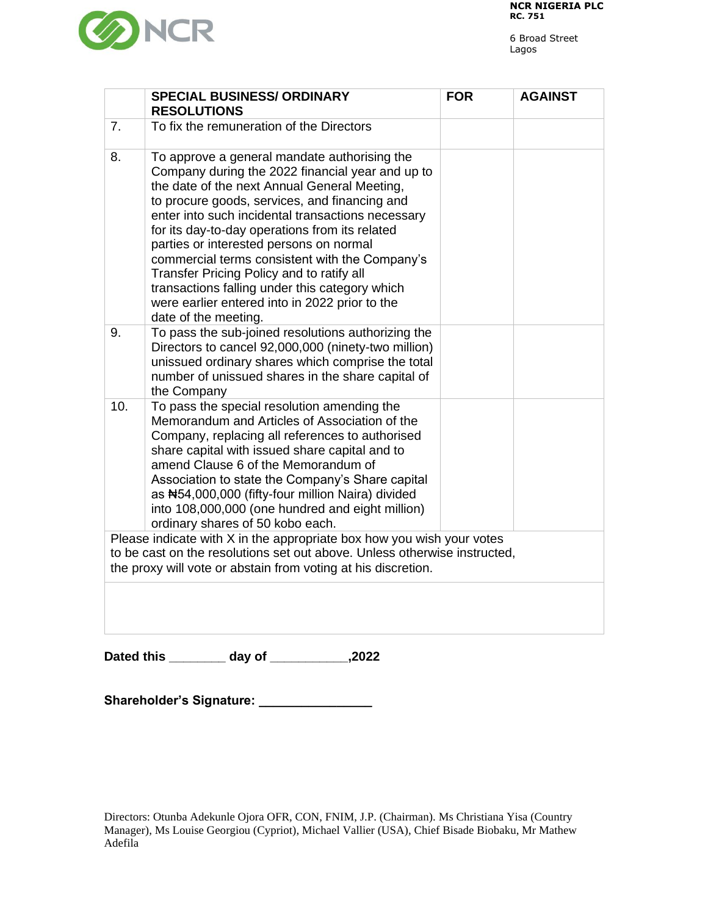



|                                                                                                                                                                                                                     | <b>SPECIAL BUSINESS/ ORDINARY</b><br><b>RESOLUTIONS</b>                                                                                                                                                                                                                                                                                                                                                                                                                                                                                                                        | <b>FOR</b> | <b>AGAINST</b> |  |
|---------------------------------------------------------------------------------------------------------------------------------------------------------------------------------------------------------------------|--------------------------------------------------------------------------------------------------------------------------------------------------------------------------------------------------------------------------------------------------------------------------------------------------------------------------------------------------------------------------------------------------------------------------------------------------------------------------------------------------------------------------------------------------------------------------------|------------|----------------|--|
| 7 <sub>1</sub>                                                                                                                                                                                                      | To fix the remuneration of the Directors                                                                                                                                                                                                                                                                                                                                                                                                                                                                                                                                       |            |                |  |
| 8.                                                                                                                                                                                                                  | To approve a general mandate authorising the<br>Company during the 2022 financial year and up to<br>the date of the next Annual General Meeting,<br>to procure goods, services, and financing and<br>enter into such incidental transactions necessary<br>for its day-to-day operations from its related<br>parties or interested persons on normal<br>commercial terms consistent with the Company's<br>Transfer Pricing Policy and to ratify all<br>transactions falling under this category which<br>were earlier entered into in 2022 prior to the<br>date of the meeting. |            |                |  |
| 9.                                                                                                                                                                                                                  | To pass the sub-joined resolutions authorizing the<br>Directors to cancel 92,000,000 (ninety-two million)<br>unissued ordinary shares which comprise the total<br>number of unissued shares in the share capital of<br>the Company                                                                                                                                                                                                                                                                                                                                             |            |                |  |
| 10.                                                                                                                                                                                                                 | To pass the special resolution amending the<br>Memorandum and Articles of Association of the<br>Company, replacing all references to authorised<br>share capital with issued share capital and to<br>amend Clause 6 of the Memorandum of<br>Association to state the Company's Share capital<br>as #54,000,000 (fifty-four million Naira) divided<br>into 108,000,000 (one hundred and eight million)<br>ordinary shares of 50 kobo each.                                                                                                                                      |            |                |  |
| Please indicate with X in the appropriate box how you wish your votes<br>to be cast on the resolutions set out above. Unless otherwise instructed,<br>the proxy will vote or abstain from voting at his discretion. |                                                                                                                                                                                                                                                                                                                                                                                                                                                                                                                                                                                |            |                |  |
|                                                                                                                                                                                                                     |                                                                                                                                                                                                                                                                                                                                                                                                                                                                                                                                                                                |            |                |  |

**Dated this \_\_\_\_\_\_\_\_ day of \_\_\_\_\_\_\_\_\_\_\_,2022**

**Shareholder's Signature: \_\_\_\_\_\_\_\_\_\_\_\_\_\_\_\_**